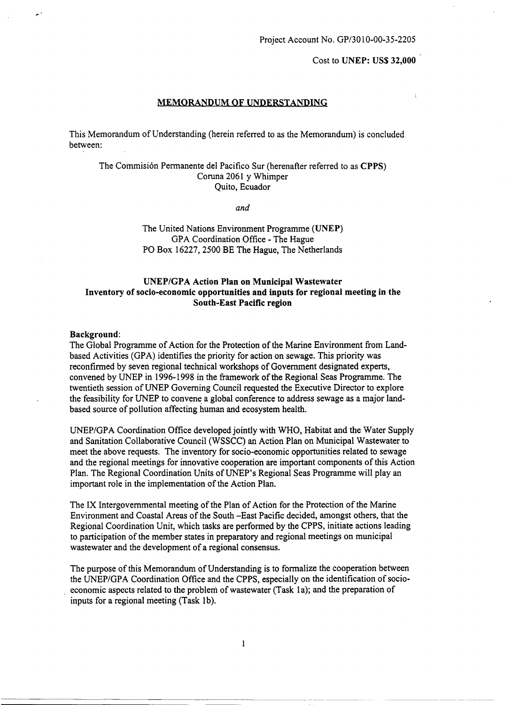Cost to UNEP: US\$ 32,000

### MEMORANDUM OF UNDERSTANDING

This Memorandum of Understanding (herein referred to as the Memorandum) is concluded between:

# The Commisión Permanente del Pacifico Sur (herenafter referred to as CPPS) Coruna 2061 y Whimper Quito, Ecuador

*and*

The United Nations Environment Programme (UNEP) GPA Coordination Office - The Hague PO Box 16227, 2500 BE The Hague, The Netherlands

## UNEP/GPA Action Plan on Municipal Wastewater Inventory of socio-economic opportunities and inputs for regional meeting in the South-East Pacific region

### Background:

The Global Prograrnme of Action for the Protection of the Marine Environment from Landbased Activities (GPA) identifies the priority for action on sewage. This priority was reconfirmed by seven regional technical workshops of Government designated experts, convened by UNEP in 1996-1998 in the frarnework of the Regional Seas Programme. The twentieth session ofUNEP Governing Council requested the Executive Director to explore the feasibility for UNEP to convene a global conference to address sewage as a major landbased source of pollution affecting human and ecosystem health.

UNEP/GPA Coordination Office developedjointly with WHO, Habitat and the Water Supply and Sanitation Collaborative Council (WSSCC) an Action Plan on Municipal Wastewater to meet the above requests. The inventory for socio-economic opportunities related to sewage and the regional meetings for innovative cooperation are important components of this Action Plan. The Regional Coordination Units of UNEP's Regional Seas Programme will play an important role in the implementation of the Action Plan.

The IX Intergovernmental meeting of the Plan of Action for the Protection of the Marine Environment and Coastal Areas ofthe South -East Pacific decided, amongst others, that the Regional Coordination Unit, which tasks are performed by the CPPS, initiate actions leading to participation of the member states in preparatory and regional meetings on municipal wastewater and the development of a regional consensus.

The purpose of this Memorandum of Understanding is to formalize the cooperation between the UNEP/GPA Coordination Office and the CPPS, especially on the identification of socioeconomic aspects related to the problem of wastewater (Task 1a); and the preparation of inputs for a regional meeting (Task 1b).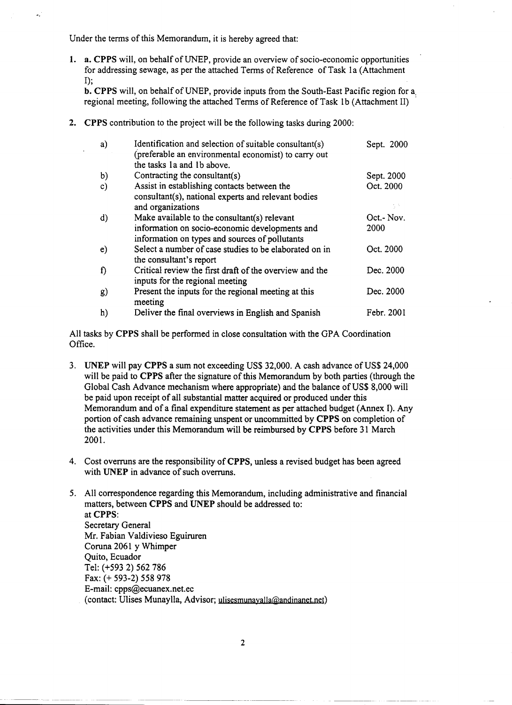Under the terms of this Memorandum, it is hereby agreed that:

 $\sigma_{\rm x}$ 

1. a. CPPS will, on behalf of UNEP, provide an overview of socio-economic opportunities for addressing sewage, as per the attached Terms of Reference of Task 1a (Attachment 1);

b. CPPS will, on behalf of UNEP, provide inputs from the South-East Pacific region for a. regional meeting, following the attached Terms of Reference of Task 1b (Attachment II)

2. CPPS contribution to the project will be the following tasks during 2000

|               | <b>2.</b> CPPS contribution to the project will be the following tasks during 2000:                                                              |                           |
|---------------|--------------------------------------------------------------------------------------------------------------------------------------------------|---------------------------|
| a)            | Identification and selection of suitable consultant(s)<br>(preferable an environmental economist) to carry out<br>the tasks 1a and 1b above.     | Sept. 2000                |
| b)            | Contracting the consultant(s)                                                                                                                    | Sept. 2000                |
| $\mathbf{c})$ | Assist in establishing contacts between the<br>consultant(s), national experts and relevant bodies<br>and organizations                          | Oct. 2000                 |
| $\mathbf{d}$  | Make available to the consultant(s) relevant<br>information on socio-economic developments and<br>information on types and sources of pollutants | Oct.- Nov.<br><b>2000</b> |
| e)            | Select a number of case studies to be elaborated on in<br>the consultant's report                                                                | Oct. 2000                 |
| f)            | Critical review the first draft of the overview and the<br>inputs for the regional meeting                                                       | Dec. 2000                 |
| g)            | Present the inputs for the regional meeting at this<br>meeting                                                                                   | Dec. 2000                 |
| h)            | Deliver the final overviews in English and Spanish                                                                                               | Febr. 2001                |

Office.

- 3. UNEP will pay CPPS a sum not exceeding US\$ 32,000. A cash advance of US\$ 24,000 will be paid to CPPS after the signature of this Memorandum by both parties (through the Global Cash Advance mechanism where appropriate) and the balance of US\$ 8,000 will be paid upon receipt of all substantial matter acquired or produced under this Memorandum and of a final expenditure statement as per attached budget (Annex 1). Any portion of cash advance remaining unspent or uncornmitted by CPPS on completion of the activities under this Memorandum will be reimbursed by CPPS before 31 March 2001.
- 4. Cost overruns are the responsibility of CPPS, unless a revised budget has been agreed with UNEP in advance of such overruns.
- 5. All correspondence regarding this Memorandum, including administrative and financial matters, between CPPS and UNEP should be addressed to: at CPPS: Secretary General Mr. Fabian Valdivieso Eguiruren Coruna 2061 y Whimper Quito, Ecuador Tel: (+593 2) 562 786 Fax: (+ 593-2) 558 978 E-mail: cpps@ecuanex.net.ec (contact: Ulises Munaylla, Advisor; ulisesmunayalla@andinanet.net)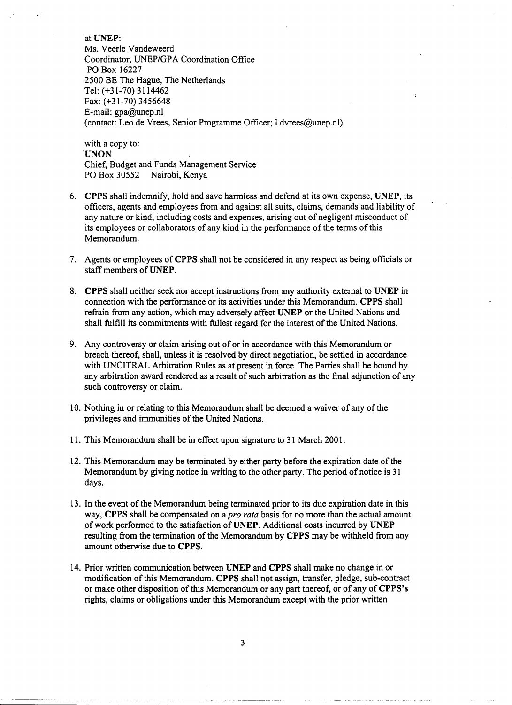atUNEP: Ms. Veerle Vandeweerd Coordinator, UNEP/GPA Coordination Office PO Box 16227 2500 BE The Hague, The Netherlands Tel: (+31-70) 3114462 Fax: (+31-70) 3456648 E-mail: gpa@unep.nl (contact: Leo de Vrees, Senior Programme Officer; l.dvrees@unep.nl)

with a copy to: 'UNON Chief, Budget and Funds Management Service PO Box 30552 Nairobi, Kenya

- 6. CPPS shall indemnify, hold and save harmless and defend at its own expense, UNEP, its officers, agents and employees from and against all suits, claims, demands and liability of any nature or kind, including costs and expenses, arising out of negligent misconduct of its employees or collaborators of any kind in the performance of the terms of this Memorandum.
- 7. Agents or employees of CPPS shall not be considered in any respect as being officials or staff members of UNEP.
- 8. CPPS shall neither seek nor accept instructions from any authority external to UNEP in connection with the performance or its activities under this Memorandum. CPPS shall refrain from any action, which may adversely affect UNEP or the United Nations and shall fulfill its commitments with fullest regard for the interest of the United Nations.
- 9. Any controversy or claim arising out of or in accordance with this Memorandum or breach thereof, shall, unless it is resolved by direct negotiation, be settled in accordance with UNCITRAL Arbitration Rules as at present in force. The Parties shall be bound by any arbitration award rendered as a result of such arbitration as the final adjunction of any such controversy or claim.
- 10. Nothing in or relating to this Memorandum shall be deemed a waiver of any of the privileges and immunities of the United Nations.
- 11. This Memorandum shall be in effect upon signature to 31 March 2001.
- 12. This Memorandum may be terminated by either party before the expiration date ofthe Memorandum by giving notice in writing to the other party. The period of notice is 31 days.
- 13. In the event of the Memorandum being terminated prior to its due expiration date in this way, CPPS shall be compensated on a *pro rata* basis for no more than the actual amount of work performed to the satisfaction of UNEP. Additional costs incurred by UNEP resulting from the termination of the Memorandum by CPPS may be withheld from any amount otherwise due to CPPS.
- 14. Prior written communication between UNEP and CPPS shall make no change in or modification ofthis Memorandum. CPPS shall not assign, transfer, pledge, sub-contract or make other disposition of this Memorandum or any part thereof, or of any of CPPS's rights, claims or obligations under this Memorandum except with the prior written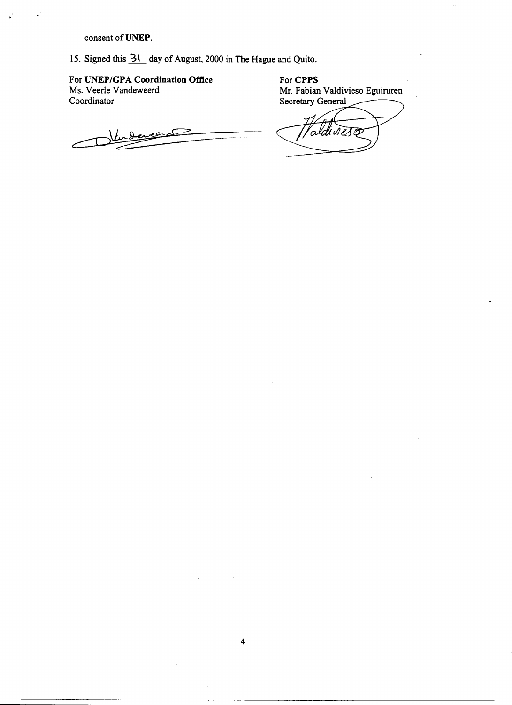consent of UNEP.

 $\epsilon$ <sup>'</sup>

15. Signed this  $3!$  day of August, 2000 in The Hague and Quito.

For UNEP/GPA Coordination Oftice Ms. Veerle Vandeweerd Coordinator

For CPPS Mr. Fabian Valdivieso Eguiruren Secretary General

evera ୍ଧ

ddives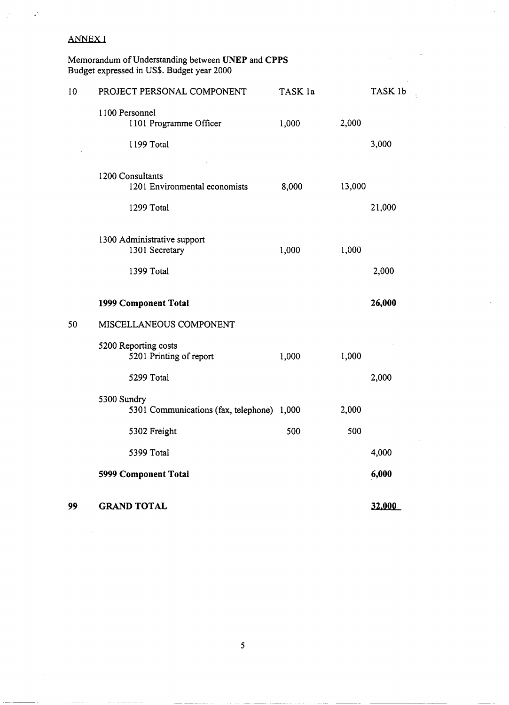#### ANNEXI  $\Gamma$  $\blacksquare$ **GRANDTOTAL 32,000**

 $\mathbf{r}$ 

Memorandum ofUnderstanding between **UNEP** and **CPPS** Budget expressed in US\$. Budget year 2000  $\mathsf{M}$ Memorandum of Un ANNEX I<br>Memorandum of Understanding between UNI  $5301C$ ANNEX I<br>Memorandum of Understanding between UNI

| 10 | PROJECT PERSONAL COMPONENT                                | TASK la |        | TASK 1b |
|----|-----------------------------------------------------------|---------|--------|---------|
|    | 1100 Personnel<br>1101 Programme Officer<br>1199 Total    | 1,000   | 2,000  | 3,000   |
|    |                                                           |         |        |         |
|    | 1200 Consultants<br>1201 Environmental economists         | 8,000   | 13,000 |         |
|    | 1299 Total                                                |         |        | 21,000  |
|    | 1300 Administrative support<br>1301 Secretary             | 1,000   | 1,000  |         |
|    | 1399 Total                                                |         |        | 2,000   |
|    | 1999 Component Total                                      |         |        | 26,000  |
| 50 | MISCELLANEOUS COMPONENT                                   |         |        |         |
|    | 5200 Reporting costs<br>5201 Printing of report           | 1,000   | 1,000  |         |
|    | 5299 Total                                                |         |        | 2,000   |
|    | 5300 Sundry<br>5301 Communications (fax, telephone) 1,000 |         | 2,000  |         |
|    | 5302 Freight                                              | 500     | 500    |         |
|    | 5399 Total                                                |         |        | 4,000   |
|    | 5999 Component Total                                      |         |        | 6,000   |
| 99 | <b>GRAND TOTAL</b>                                        |         |        | 32,000  |

 $\bar{\mathcal{A}}$ 

 $\cdot$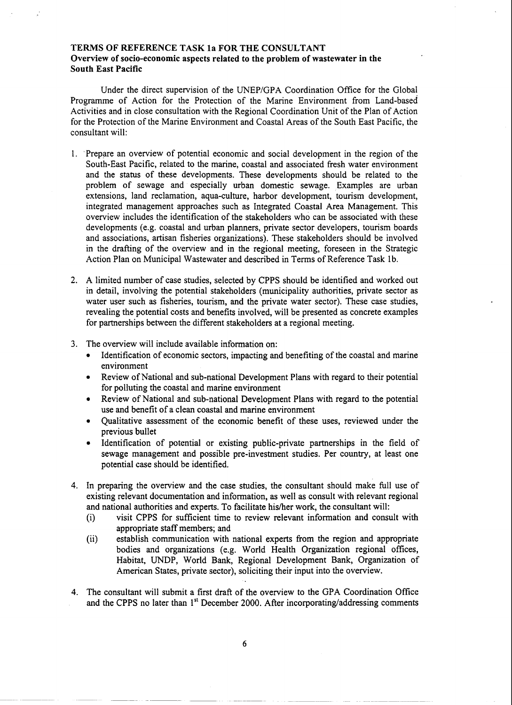## TERMS OF REFERENCE TASK la FOR THE CONSULTANT Overview oí soeio-eeonomie aspeets related to the problem oí wastewater in the South East Paeifie

Under the direct supervision of the UNEP/GPA Coordination Office for the Global Programme of Action for the Protection of the Marine Environment from Land-based Activities and in close consultation with the Regional Coordination Unit of the Plan of Action for the Protection of the Marine Environment and Coastal Areas of the South East Pacific, the consultant will:

- l. .Prepare an overview of potential economic and social development in the region of the South-East Pacific, related to the marine, coastal and associated fresh water environment and the status of these developments. These developments should be related to the problem of sewage and especially urban domestic sewage. Examples are urban extensions, land reclamation, aqua-culture, harbor development, tourism development, integrated management approaches such as Integrated Coastal Area Management. This overview includes the identification of the stakeholders who can be associated with these developments (e.g. coastal and urban planners, private sector developers, tourism boards and associations, artisan fisheries organizations). These stakeholders should be involved in the drafting of the overview and in the regional meeting, foreseen in the Strategic Action Plan on Municipal Wastewater and described in Terms of Reference Task 1b.
- 2. A limited number of case studies, selected by CPPS should be identified and worked out in detail, involving the potential stakeholders (municipality authorities, private sector as water user such as fisheries, tourism, and the private water sector). These case studies, revealing the potential costs and benefits involved, will be presented as concrete examples for partnerships between the different stakeholders at a regional meeting.
- 3. The overview will include available information on:
	- Identification of economic sectors, impacting and benefiting of the coastal and marine environment
	- Review of National and sub-national Development Plans with regard to their potential for polluting the coastal and marine environment
	- Review of National and sub-national Development Plans with regard to the potential use and benefit of a clean coastal and marine environment
	- Qualitative assessment of the economic benefit of these uses, reviewed under the previous bullet
	- Identification of potential or existing public-private partnerships in the field of sewage management and possible pre-investment studies. Per country, at least one potential case should be identified.
- 4. In preparing the overview and the case studies, the consultant should make full use of existing relevant documentation and information, as well as consult with relevant regional and national authorities and experts. To facilitate his/her work, the consultant will:
	- (i) visit CPPS for sufficient time to review relevant information and consult with appropriate staff members; and
	- (ii) establish communication with national experts from the region and appropriate bodies and organizations (e.g. World Health Organization regional offices, Habitat, UNDP, World Bank, Regional Development Bank, Organization of American States, private sector), soliciting their input into the overview.
- 4. The consultant will submit a first draft of the overview to the GPA Coordination Office and the CPPS no later than  $1<sup>st</sup>$  December 2000. After incorporating/addressing comments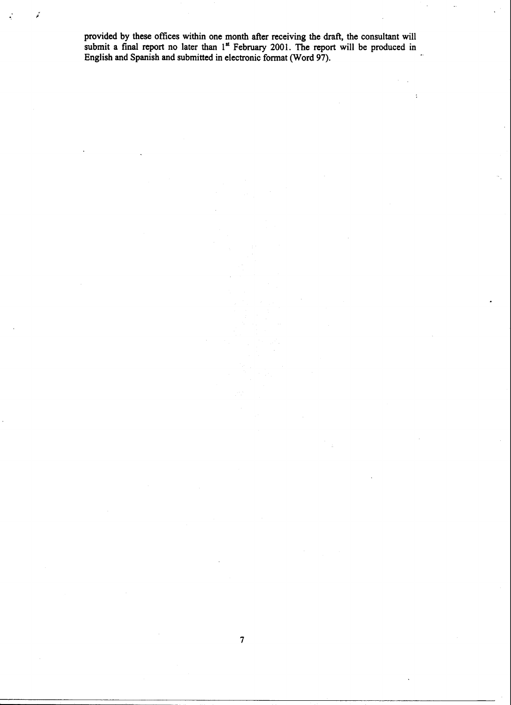provided by tbese offices witbin one montb after receiving tbe draft, the consultant will submit a final report no later than  $1 -$  February 2001. The report will be produced in English and Spanish and submitted in electronic format CNord 97).

 $\ddot{\cdot}$ 

7